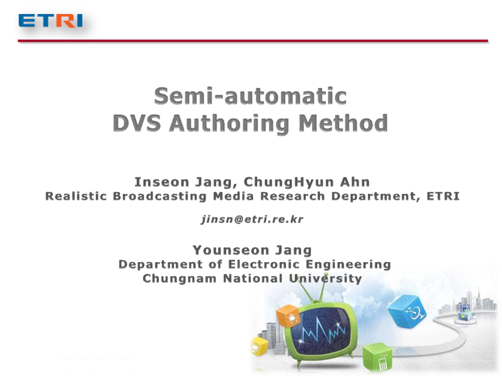

# Semi-automatic **DVS Authoring Method**

Inseon Jang, ChungHyun Ahn **Realistic Broadcasting Media Research Department, ETRI** 

jinsn@etri.re.kr

**Younseon Jang Department of Electronic Engineering Chungnam National University**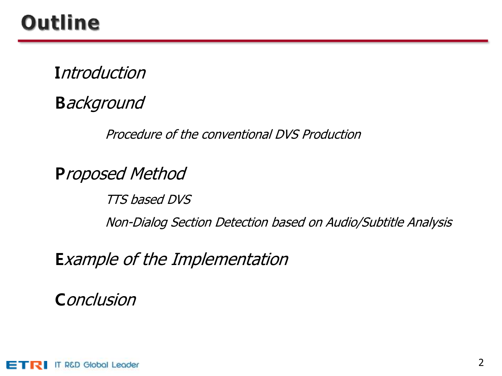### **Outline**

**Introduction** 

**Background** 

Procedure of the conventional DVS Production

Proposed Method

TTS based DVS Non-Dialog Section Detection based on Audio/Subtitle Analysis

Example of the Implementation

**Conclusion** 

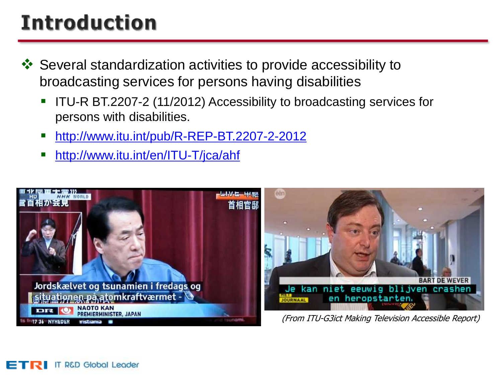# **Introduction**

- Several standardization activities to provide accessibility to broadcasting services for persons having disabilities
	- ITU-R BT.2207-2 (11/2012) Accessibility to broadcasting services for persons with disabilities.
	- <http://www.itu.int/pub/R-REP-BT.2207-2-2012>
	- <http://www.itu.int/en/ITU-T/jca/ahf>

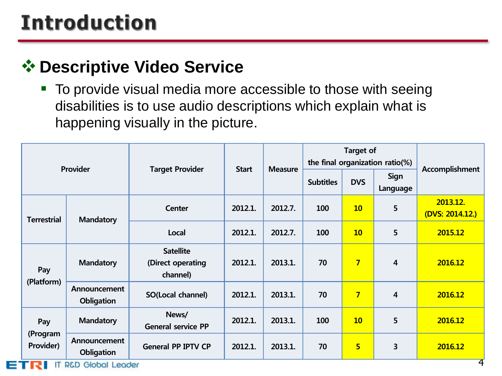### **Introduction**

#### $\diamond$  **Descriptive Video Service**

■ To provide visual media more accessible to those with seeing disabilities is to use audio descriptions which explain what is happening visually in the picture.

| Provider                     |                                   |                                                   |              |                | <b>Target of</b><br>the final organization ratio(%) |                |                  |                             |  |
|------------------------------|-----------------------------------|---------------------------------------------------|--------------|----------------|-----------------------------------------------------|----------------|------------------|-----------------------------|--|
|                              |                                   | <b>Target Provider</b>                            | <b>Start</b> | <b>Measure</b> | <b>Subtitles</b>                                    | <b>DVS</b>     | Sign<br>Language | Accomplishment              |  |
| <b>Terrestrial</b>           | <b>Mandatory</b>                  | <b>Center</b>                                     | 2012.1.      | 2012.7.        | 100                                                 | 10             | 5                | 2013.12.<br>(DVS: 2014.12.) |  |
|                              |                                   | Local                                             | 2012.1.      | 2012.7.        | 100                                                 | 10             | 5                | 2015.12                     |  |
| Pay<br>(Platform)            | <b>Mandatory</b>                  | <b>Satellite</b><br>(Direct operating<br>channel) | 2012.1.      | 2013.1.        | 70                                                  | $\overline{7}$ | 4                | 2016.12                     |  |
|                              | Announcement<br><b>Obligation</b> | SO(Local channel)                                 | 2012.1.      | 2013.1.        | 70                                                  | $\overline{7}$ | $\overline{4}$   | 2016.12                     |  |
| Pay<br>(Program<br>Provider) | <b>Mandatory</b>                  | News/<br><b>General service PP</b>                | 2012.1.      | 2013.1.        | 100                                                 | 10             | 5                | 2016.12                     |  |
|                              | Announcement<br><b>Obligation</b> | <b>General PP IPTV CP</b>                         | 2012.1.      | 2013.1.        | 70                                                  | 5              | 3                | 2016.12                     |  |
| R.                           | <b>IT R&amp;D Global Leader</b>   |                                                   |              |                |                                                     |                |                  | 4                           |  |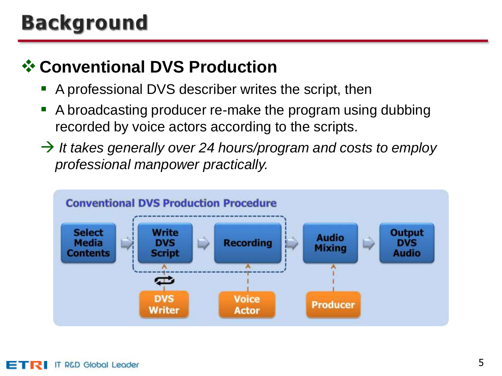### **Background**

#### **<sup>❖</sup> Conventional DVS Production**

- **A** professional DVS describer writes the script, then
- A broadcasting producer re-make the program using dubbing recorded by voice actors according to the scripts.
- *It takes generally over 24 hours/program and costs to employ professional manpower practically.*

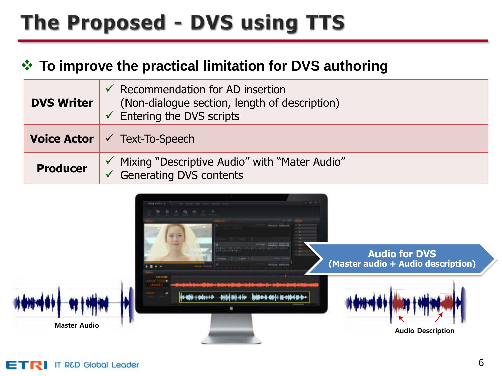# The Proposed - DVS using TTS

#### **To improve the practical limitation for DVS authoring**

| <b>DVS Writer</b> | $\checkmark$ Recommendation for AD insertion<br>(Non-dialogue section, length of description)<br>$\checkmark$ Entering the DVS scripts |
|-------------------|----------------------------------------------------------------------------------------------------------------------------------------|
|                   | <b>Voice Actor</b> $\checkmark$ Text-To-Speech                                                                                         |
| <b>Producer</b>   | ✓ Mixing "Descriptive Audio" with "Mater Audio"<br><b>Generating DVS contents</b>                                                      |

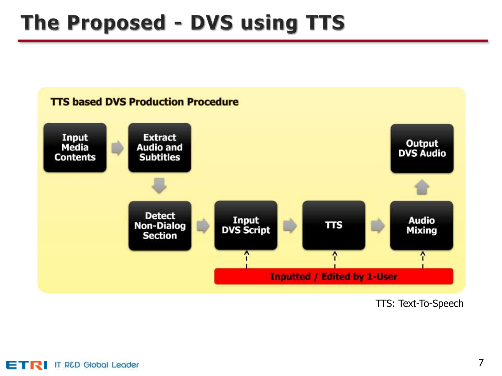### The Proposed - DVS using TTS



TTS: Text-To-Speech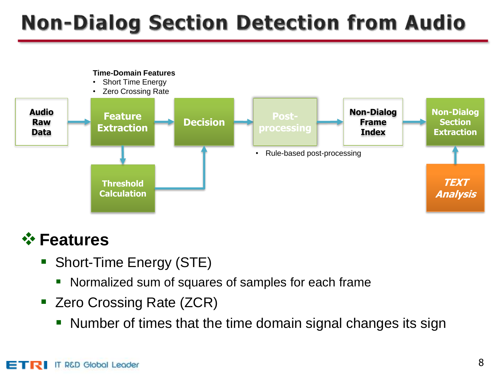# **Non-Dialog Section Detection from Audio**





- Short-Time Energy (STE)
	- Normalized sum of squares of samples for each frame
- Zero Crossing Rate (ZCR)
	- Number of times that the time domain signal changes its sign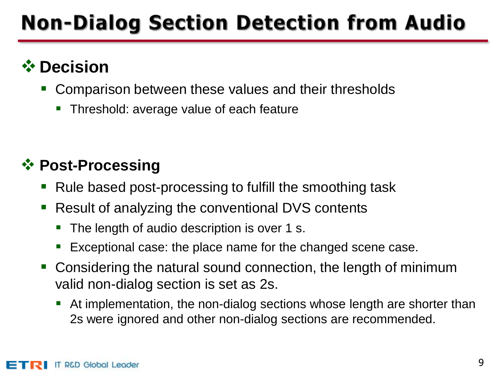# **Non-Dialog Section Detection from Audio**

#### **☆ Decision**

- Comparison between these values and their thresholds
	- Threshold: average value of each feature

#### **<sup>❖</sup> Post-Processing**

- Rule based post-processing to fulfill the smoothing task
- Result of analyzing the conventional DVS contents
	- The length of audio description is over 1 s.
	- Exceptional case: the place name for the changed scene case.
- Considering the natural sound connection, the length of minimum valid non-dialog section is set as 2s.
	- At implementation, the non-dialog sections whose length are shorter than 2s were ignored and other non-dialog sections are recommended.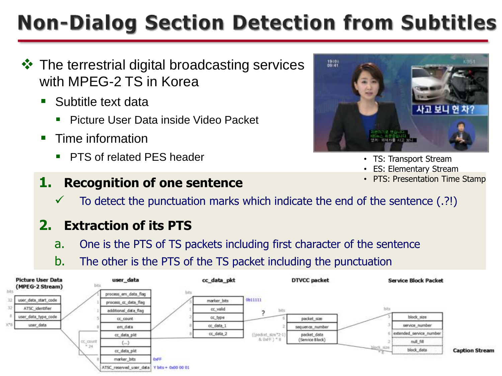# **Non-Dialog Section Detection from Subtitles**

- $\triangle$  The terrestrial digital broadcasting services with MPEG-2 TS in Korea
	- Subtitle text data
		- **Picture User Data inside Video Packet**
	- **Time information** 
		- **PTS of related PFS header**

#### **1. Recognition of one sentence**



- TS: Transport Stream
- ES: Elementary Stream
- PTS: Presentation Time Stamp
- $\checkmark$  To detect the punctuation marks which indicate the end of the sentence (.?!)

#### **2. Extraction of its PTS**

- a. One is the PTS of TS packets including first character of the sentence
- b. The other is the PTS of the TS packet including the punctuation

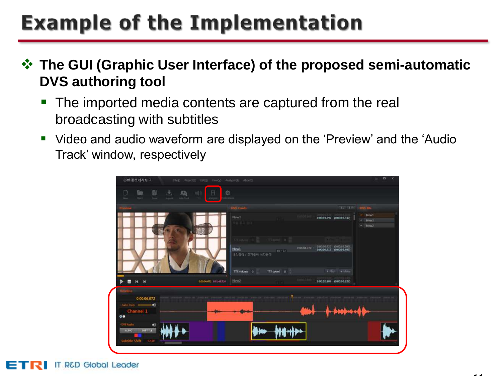**The GUI (Graphic User Interface) of the proposed semi-automatic DVS authoring tool**

- The imported media contents are captured from the real broadcasting with subtitles
- Video and audio waveform are displayed on the 'Preview' and the 'Audio Track' window, respectively

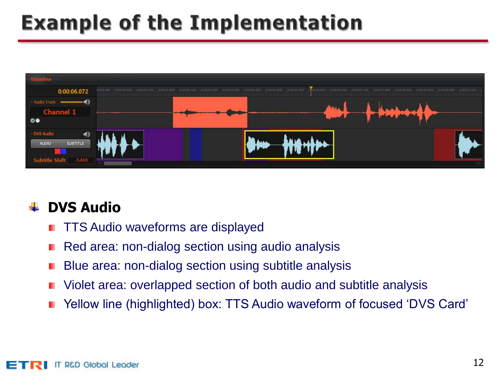

#### **DVS Audio**

- TTS Audio waveforms are displayed ٠
- Red area: non-dialog section using audio analysis
- Blue area: non-dialog section using subtitle analysis
- Violet area: overlapped section of both audio and subtitle analysis
- Yellow line (highlighted) box: TTS Audio waveform of focused 'DVS Card'٠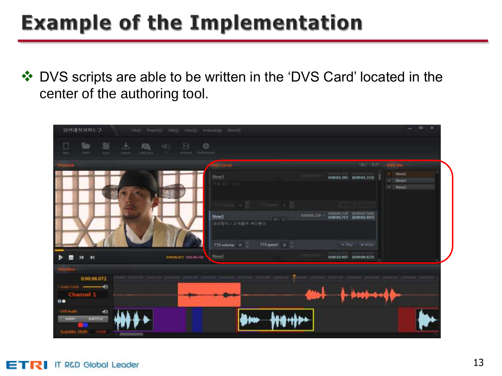❖ DVS scripts are able to be written in the 'DVS Card' located in the center of the authoring tool.

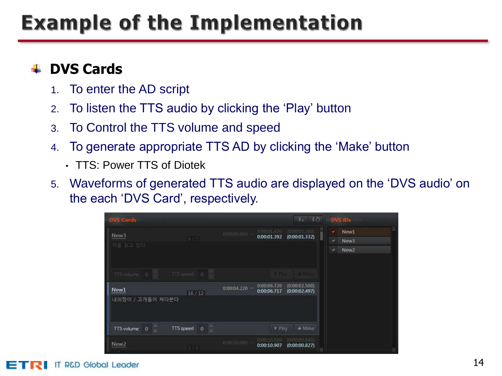#### **DVS Cards**

- 1. To enter the AD script
- 2. To listen the TTS audio by clicking the 'Play' button
- 3. To Control the TTS volume and speed
- 4. To generate appropriate TTS AD by clicking the 'Make' button
	- TTS: Power TTS of Diotek
- 5. Waveforms of generated TTS audio are displayed on the 'DVS audio' on the each 'DVS Card', respectively.

| <b>DVS Cards</b>              |                                  | $I = 10$<br><b>DVS IDs</b>                                                                                                           |  |
|-------------------------------|----------------------------------|--------------------------------------------------------------------------------------------------------------------------------------|--|
| New <sub>3</sub><br>책을 읽고 있다. | 977                              | 0:00:01.420<br>(0.00.011360)<br>New1<br>v.<br>$0.00.00.060 -$<br>0:00:01.392<br>(0:00:01.332)<br>V.<br>New3<br>u<br>New <sub>2</sub> |  |
| TTS volume 0<br>New1          | TTS speed 0                      | <b>A Play: It &amp; Moke</b><br>0:00:06.720<br>(0:00:02.500)<br>$0:00:04.220 -$<br>0:00:06.717<br>(0:00:02.497)                      |  |
| 내의정이 / 고개들어 쳐다본다              | 16/12                            |                                                                                                                                      |  |
| $\overline{0}$<br>TTS volume  | E<br>$\overline{0}$<br>TTS speed | $\triangleright$ Play<br>* Make                                                                                                      |  |
| New <sub>2</sub>              | 374                              | 0:00:10.920<br>(0:00:00.840)<br>$0.0010.080 -$<br>0:00:10.907<br>(0:00:00.827)                                                       |  |

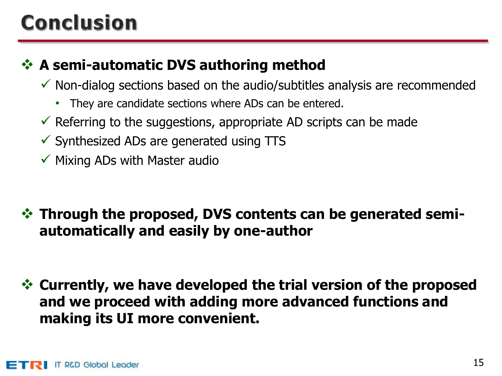# **Conclusion**

#### **↑ A semi-automatic DVS authoring method**

- $\checkmark$  Non-dialog sections based on the audio/subtitles analysis are recommended
	- They are candidate sections where ADs can be entered.
- $\checkmark$  Referring to the suggestions, appropriate AD scripts can be made
- $\checkmark$  Synthesized ADs are generated using TTS
- $\checkmark$  Mixing ADs with Master audio
- **☆ Through the proposed, DVS contents can be generated semiautomatically and easily by one-author**
- **Currently, we have developed the trial version of the proposed and we proceed with adding more advanced functions and making its UI more convenient.**